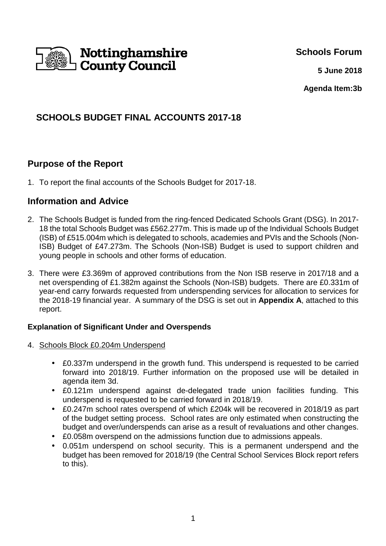

**Schools Forum**

**5 June 2018**

**Agenda Item:3b**

# **SCHOOLS BUDGET FINAL ACCOUNTS 2017-18**

## **Purpose of the Report**

1. To report the final accounts of the Schools Budget for 2017-18.

### **Information and Advice**

- 2. The Schools Budget is funded from the ring-fenced Dedicated Schools Grant (DSG). In 2017- 18 the total Schools Budget was £562.277m. This is made up of the Individual Schools Budget (ISB) of £515.004m which is delegated to schools, academies and PVIs and the Schools (Non-ISB) Budget of £47.273m. The Schools (Non-ISB) Budget is used to support children and young people in schools and other forms of education.
- 3. There were £3.369m of approved contributions from the Non ISB reserve in 2017/18 and a net overspending of £1.382m against the Schools (Non-ISB) budgets. There are £0.331m of year-end carry forwards requested from underspending services for allocation to services for the 2018-19 financial year. A summary of the DSG is set out in **Appendix A**, attached to this report.

### **Explanation of Significant Under and Overspends**

- 4. Schools Block £0.204m Underspend
	- £0.337m underspend in the growth fund. This underspend is requested to be carried forward into 2018/19. Further information on the proposed use will be detailed in agenda item 3d.
	- £0.121m underspend against de-delegated trade union facilities funding. This underspend is requested to be carried forward in 2018/19.
	- £0.247m school rates overspend of which £204k will be recovered in 2018/19 as part of the budget setting process. School rates are only estimated when constructing the budget and over/underspends can arise as a result of revaluations and other changes.
	- £0.058m overspend on the admissions function due to admissions appeals.
	- 0.051m underspend on school security. This is a permanent underspend and the budget has been removed for 2018/19 (the Central School Services Block report refers to this).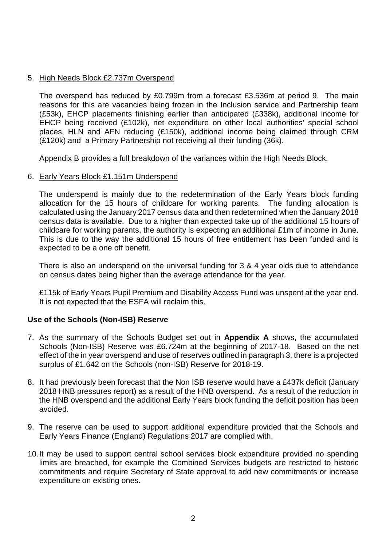#### 5. High Needs Block £2.737m Overspend

The overspend has reduced by £0.799m from a forecast £3.536m at period 9. The main reasons for this are vacancies being frozen in the Inclusion service and Partnership team (£53k), EHCP placements finishing earlier than anticipated (£338k), additional income for EHCP being received (£102k), net expenditure on other local authorities' special school places, HLN and AFN reducing (£150k), additional income being claimed through CRM (£120k) and a Primary Partnership not receiving all their funding (36k).

Appendix B provides a full breakdown of the variances within the High Needs Block.

#### 6. Early Years Block £1.151m Underspend

The underspend is mainly due to the redetermination of the Early Years block funding allocation for the 15 hours of childcare for working parents. The funding allocation is calculated using the January 2017 census data and then redetermined when the January 2018 census data is available. Due to a higher than expected take up of the additional 15 hours of childcare for working parents, the authority is expecting an additional £1m of income in June. This is due to the way the additional 15 hours of free entitlement has been funded and is expected to be a one off benefit.

There is also an underspend on the universal funding for 3 & 4 year olds due to attendance on census dates being higher than the average attendance for the year.

£115k of Early Years Pupil Premium and Disability Access Fund was unspent at the year end. It is not expected that the ESFA will reclaim this.

#### **Use of the Schools (Non-ISB) Reserve**

- 7. As the summary of the Schools Budget set out in **Appendix A** shows, the accumulated Schools (Non-ISB) Reserve was £6.724m at the beginning of 2017-18. Based on the net effect of the in year overspend and use of reserves outlined in paragraph 3, there is a projected surplus of £1.642 on the Schools (non-ISB) Reserve for 2018-19.
- 8. It had previously been forecast that the Non ISB reserve would have a £437k deficit (January 2018 HNB pressures report) as a result of the HNB overspend. As a result of the reduction in the HNB overspend and the additional Early Years block funding the deficit position has been avoided.
- 9. The reserve can be used to support additional expenditure provided that the Schools and Early Years Finance (England) Regulations 2017 are complied with.
- 10. It may be used to support central school services block expenditure provided no spending limits are breached, for example the Combined Services budgets are restricted to historic commitments and require Secretary of State approval to add new commitments or increase expenditure on existing ones.